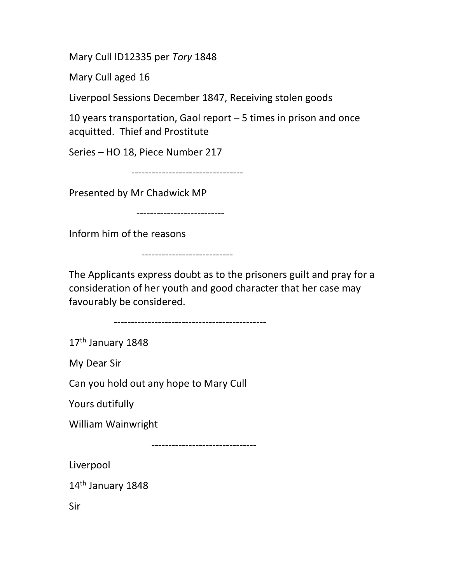Mary Cull ID12335 per Tory 1848

Mary Cull aged 16

Liverpool Sessions December 1847, Receiving stolen goods

10 years transportation, Gaol report – 5 times in prison and once acquitted. Thief and Prostitute

Series – HO 18, Piece Number 217

---------------------------------

Presented by Mr Chadwick MP

--------------------------

Inform him of the reasons

---------------------------

The Applicants express doubt as to the prisoners guilt and pray for a consideration of her youth and good character that her case may favourably be considered.

---------------------------------------------

17<sup>th</sup> January 1848

My Dear Sir

Can you hold out any hope to Mary Cull

Yours dutifully

William Wainwright

-------------------------------

Liverpool

14<sup>th</sup> January 1848

Sir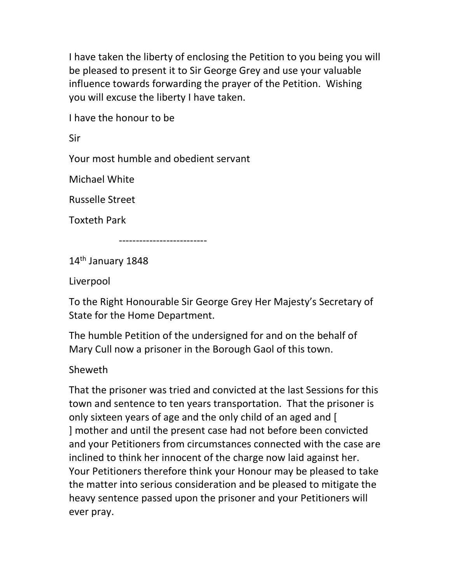I have taken the liberty of enclosing the Petition to you being you will be pleased to present it to Sir George Grey and use your valuable influence towards forwarding the prayer of the Petition. Wishing you will excuse the liberty I have taken.

I have the honour to be

Sir

Your most humble and obedient servant

Michael White

Russelle Street

Toxteth Park

--------------------------

14<sup>th</sup> January 1848

Liverpool

To the Right Honourable Sir George Grey Her Majesty's Secretary of State for the Home Department.

The humble Petition of the undersigned for and on the behalf of Mary Cull now a prisoner in the Borough Gaol of this town.

Sheweth

That the prisoner was tried and convicted at the last Sessions for this town and sentence to ten years transportation. That the prisoner is only sixteen years of age and the only child of an aged and [ ] mother and until the present case had not before been convicted and your Petitioners from circumstances connected with the case are inclined to think her innocent of the charge now laid against her. Your Petitioners therefore think your Honour may be pleased to take the matter into serious consideration and be pleased to mitigate the heavy sentence passed upon the prisoner and your Petitioners will ever pray.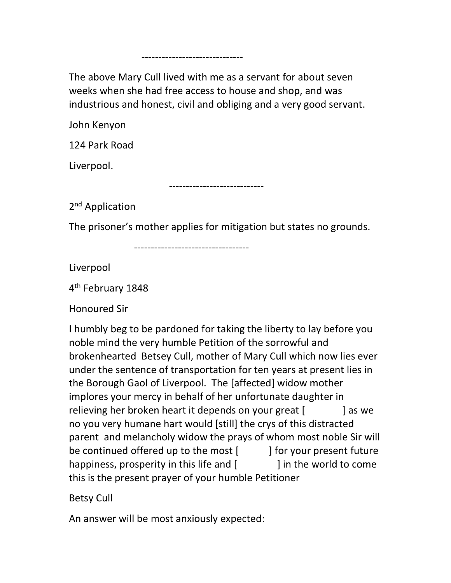The above Mary Cull lived with me as a servant for about seven weeks when she had free access to house and shop, and was industrious and honest, civil and obliging and a very good servant.

------------------------------

John Kenyon

124 Park Road

Liverpool.

----------------------------

2<sup>nd</sup> Application

The prisoner's mother applies for mitigation but states no grounds.

----------------------------------

Liverpool

4<sup>th</sup> February 1848

Honoured Sir

I humbly beg to be pardoned for taking the liberty to lay before you noble mind the very humble Petition of the sorrowful and brokenhearted Betsey Cull, mother of Mary Cull which now lies ever under the sentence of transportation for ten years at present lies in the Borough Gaol of Liverpool. The [affected] widow mother implores your mercy in behalf of her unfortunate daughter in relieving her broken heart it depends on your great [ ] as we no you very humane hart would [still] the crys of this distracted parent and melancholy widow the prays of whom most noble Sir will be continued offered up to the most [according light present future happiness, prosperity in this life and [ ] in the world to come this is the present prayer of your humble Petitioner

Betsy Cull

An answer will be most anxiously expected: